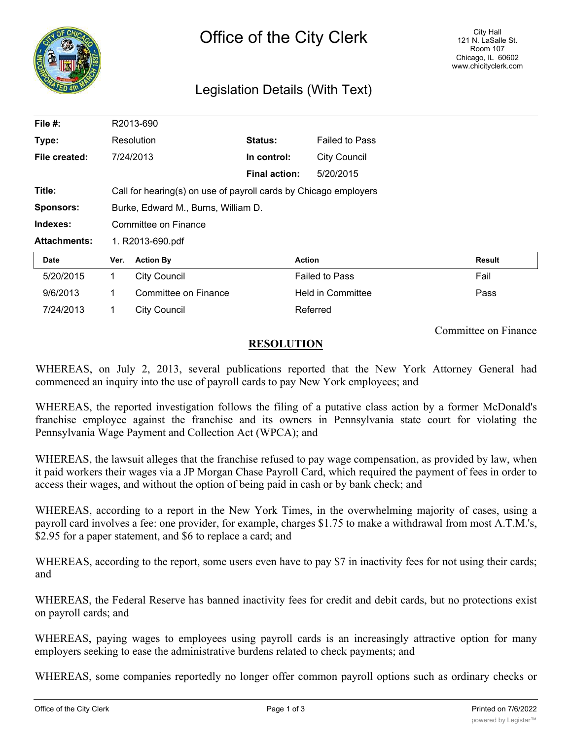

## Legislation Details (With Text)

| File $#$ :          | R2013-690                                                        |                      |                      |                          |               |
|---------------------|------------------------------------------------------------------|----------------------|----------------------|--------------------------|---------------|
| Type:               | Resolution                                                       |                      | <b>Status:</b>       | <b>Failed to Pass</b>    |               |
| File created:       |                                                                  | 7/24/2013            | In control:          | <b>City Council</b>      |               |
|                     |                                                                  |                      | <b>Final action:</b> | 5/20/2015                |               |
| Title:              | Call for hearing(s) on use of payroll cards by Chicago employers |                      |                      |                          |               |
| <b>Sponsors:</b>    | Burke, Edward M., Burns, William D.                              |                      |                      |                          |               |
| Indexes:            | Committee on Finance                                             |                      |                      |                          |               |
| <b>Attachments:</b> | 1. R2013-690.pdf                                                 |                      |                      |                          |               |
| Date                | Ver.                                                             | <b>Action By</b>     |                      | <b>Action</b>            | <b>Result</b> |
| 5/20/2015           | 1                                                                | <b>City Council</b>  |                      | <b>Failed to Pass</b>    | Fail          |
| 9/6/2013            | 1                                                                | Committee on Finance |                      | <b>Held in Committee</b> | Pass          |
| 7/24/2013           | 1                                                                | <b>City Council</b>  |                      | Referred                 |               |

Committee on Finance

## **RESOLUTION**

WHEREAS, on July 2, 2013, several publications reported that the New York Attorney General had commenced an inquiry into the use of payroll cards to pay New York employees; and

WHEREAS, the reported investigation follows the filing of a putative class action by a former McDonald's franchise employee against the franchise and its owners in Pennsylvania state court for violating the Pennsylvania Wage Payment and Collection Act (WPCA); and

WHEREAS, the lawsuit alleges that the franchise refused to pay wage compensation, as provided by law, when it paid workers their wages via a JP Morgan Chase Payroll Card, which required the payment of fees in order to access their wages, and without the option of being paid in cash or by bank check; and

WHEREAS, according to a report in the New York Times, in the overwhelming majority of cases, using a payroll card involves a fee: one provider, for example, charges \$1.75 to make a withdrawal from most A.T.M.'s, \$2.95 for a paper statement, and \$6 to replace a card; and

WHEREAS, according to the report, some users even have to pay \$7 in inactivity fees for not using their cards; and

WHEREAS, the Federal Reserve has banned inactivity fees for credit and debit cards, but no protections exist on payroll cards; and

WHEREAS, paying wages to employees using payroll cards is an increasingly attractive option for many employers seeking to ease the administrative burdens related to check payments; and

WHEREAS, some companies reportedly no longer offer common payroll options such as ordinary checks or